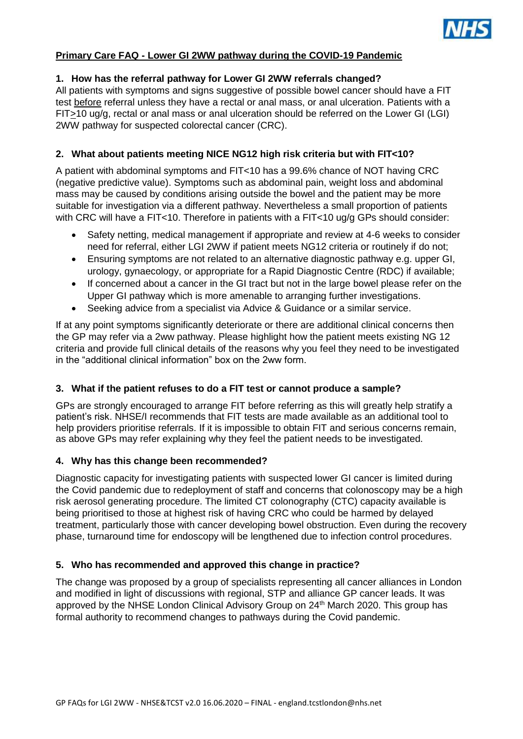

## **Primary Care FAQ - Lower GI 2WW pathway during the COVID-19 Pandemic**

## **1. How has the referral pathway for Lower GI 2WW referrals changed?**

All patients with symptoms and signs suggestive of possible bowel cancer should have a FIT test before referral unless they have a rectal or anal mass, or anal ulceration. Patients with a FIT>10 ug/g, rectal or anal mass or anal ulceration should be referred on the Lower GI (LGI) 2WW pathway for suspected colorectal cancer (CRC).

## **2. What about patients meeting NICE NG12 high risk criteria but with FIT<10?**

A patient with abdominal symptoms and FIT<10 has a 99.6% chance of NOT having CRC (negative predictive value). Symptoms such as abdominal pain, weight loss and abdominal mass may be caused by conditions arising outside the bowel and the patient may be more suitable for investigation via a different pathway. Nevertheless a small proportion of patients with CRC will have a FIT<10. Therefore in patients with a FIT<10 ug/g GPs should consider:

- Safety netting, medical management if appropriate and review at 4-6 weeks to consider need for referral, either LGI 2WW if patient meets NG12 criteria or routinely if do not;
- Ensuring symptoms are not related to an alternative diagnostic pathway e.g. upper GI, urology, gynaecology, or appropriate for a Rapid Diagnostic Centre (RDC) if available;
- If concerned about a cancer in the GI tract but not in the large bowel please refer on the Upper GI pathway which is more amenable to arranging further investigations.
- Seeking advice from a specialist via Advice & Guidance or a similar service.

If at any point symptoms significantly deteriorate or there are additional clinical concerns then the GP may refer via a 2ww pathway. Please highlight how the patient meets existing NG 12 criteria and provide full clinical details of the reasons why you feel they need to be investigated in the "additional clinical information" box on the 2ww form.

## **3. What if the patient refuses to do a FIT test or cannot produce a sample?**

GPs are strongly encouraged to arrange FIT before referring as this will greatly help stratify a patient's risk. NHSE/I recommends that FIT tests are made available as an additional tool to help providers prioritise referrals. If it is impossible to obtain FIT and serious concerns remain, as above GPs may refer explaining why they feel the patient needs to be investigated.

## **4. Why has this change been recommended?**

Diagnostic capacity for investigating patients with suspected lower GI cancer is limited during the Covid pandemic due to redeployment of staff and concerns that colonoscopy may be a high risk aerosol generating procedure. The limited CT colonography (CTC) capacity available is being prioritised to those at highest risk of having CRC who could be harmed by delayed treatment, particularly those with cancer developing bowel obstruction. Even during the recovery phase, turnaround time for endoscopy will be lengthened due to infection control procedures.

## **5. Who has recommended and approved this change in practice?**

The change was proposed by a group of specialists representing all cancer alliances in London and modified in light of discussions with regional, STP and alliance GP cancer leads. It was approved by the NHSE London Clinical Advisory Group on 24<sup>th</sup> March 2020. This group has formal authority to recommend changes to pathways during the Covid pandemic.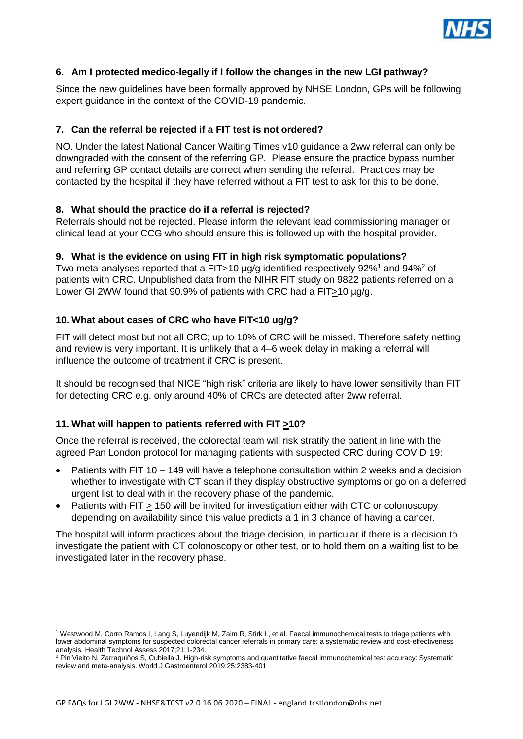

## **6. Am I protected medico-legally if I follow the changes in the new LGI pathway?**

Since the new guidelines have been formally approved by NHSE London, GPs will be following expert guidance in the context of the COVID-19 pandemic.

## **7. Can the referral be rejected if a FIT test is not ordered?**

NO. Under the latest National Cancer Waiting Times v10 guidance a 2ww referral can only be downgraded with the consent of the referring GP. Please ensure the practice bypass number and referring GP contact details are correct when sending the referral. Practices may be contacted by the hospital if they have referred without a FIT test to ask for this to be done.

## **8. What should the practice do if a referral is rejected?**

Referrals should not be rejected. Please inform the relevant lead commissioning manager or clinical lead at your CCG who should ensure this is followed up with the hospital provider.

## **9. What is the evidence on using FIT in high risk symptomatic populations?**

Two meta-analyses reported that a FIT>10  $\mu$ q identified respectively 92%<sup>1</sup> and 94%<sup>2</sup> of patients with CRC. Unpublished data from the NIHR FIT study on 9822 patients referred on a Lower GI 2WW found that 90.9% of patients with CRC had a FIT>10 µg/g.

## **10. What about cases of CRC who have FIT<10 ug/g?**

FIT will detect most but not all CRC; up to 10% of CRC will be missed. Therefore safety netting and review is very important. It is unlikely that a 4–6 week delay in making a referral will influence the outcome of treatment if CRC is present.

It should be recognised that NICE "high risk" criteria are likely to have lower sensitivity than FIT for detecting CRC e.g. only around 40% of CRCs are detected after 2ww referral.

# **11. What will happen to patients referred with FIT >10?**

Once the referral is received, the colorectal team will risk stratify the patient in line with the agreed Pan London protocol for managing patients with suspected CRC during COVID 19:

- Patients with FIT 10 149 will have a telephone consultation within 2 weeks and a decision whether to investigate with CT scan if they display obstructive symptoms or go on a deferred urgent list to deal with in the recovery phase of the pandemic.
- Patients with FIT > 150 will be invited for investigation either with CTC or colonoscopy depending on availability since this value predicts a 1 in 3 chance of having a cancer.

The hospital will inform practices about the triage decision, in particular if there is a decision to investigate the patient with CT colonoscopy or other test, or to hold them on a waiting list to be investigated later in the recovery phase.

 $\overline{a}$ <sup>1</sup> Westwood M, Corro Ramos I, Lang S, Luyendijk M, Zaim R, Stirk L, et al. Faecal immunochemical tests to triage patients with lower abdominal symptoms for suspected colorectal cancer referrals in primary care: a systematic review and cost-effectiveness analysis. Health Technol Assess 2017;21:1-234.

<sup>&</sup>lt;sup>2</sup> Pin Vieito N, Zarraquiños S, Cubiella J. High-risk symptoms and quantitative faecal immunochemical test accuracy: Systematic review and meta-analysis. World J Gastroenterol 2019;25:2383-401